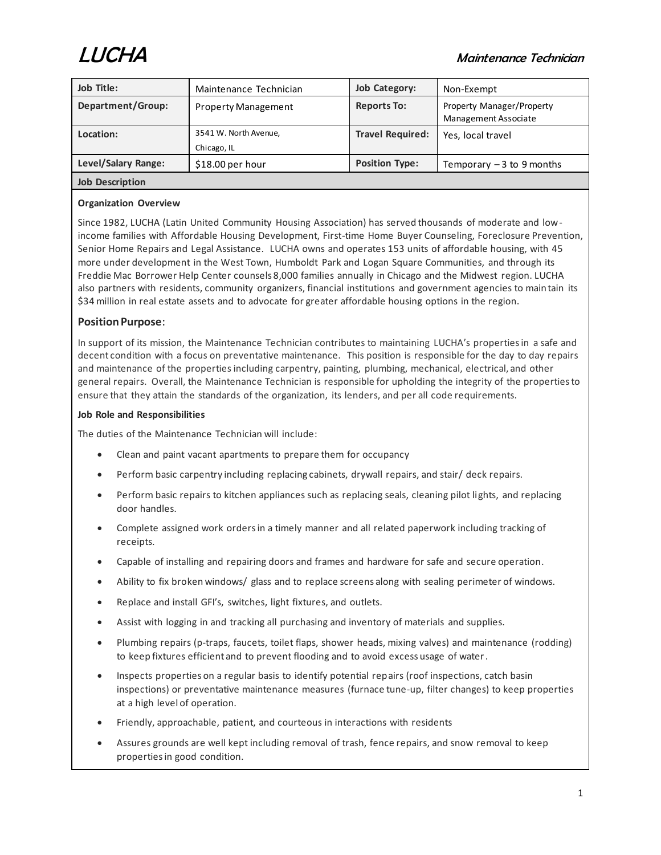

# LUCHA Maintenance Technician

| Job Title:             | Maintenance Technician     | Job Category:           | Non-Exempt                                               |
|------------------------|----------------------------|-------------------------|----------------------------------------------------------|
| Department/Group:      | <b>Property Management</b> | <b>Reports To:</b>      | Property Manager/Property<br><b>Management Associate</b> |
| Location:              | 3541 W. North Avenue,      | <b>Travel Required:</b> | Yes, local travel                                        |
|                        | Chicago, IL                |                         |                                                          |
| Level/Salary Range:    | $$18.00$ per hour          | <b>Position Type:</b>   | Temporary $-3$ to 9 months                               |
| <b>Job Description</b> |                            |                         |                                                          |

## **Organization Overview**

Since 1982, LUCHA (Latin United Community Housing Association) has served thousands of moderate and lowincome families with Affordable Housing Development, First-time Home Buyer Counseling, Foreclosure Prevention, Senior Home Repairs and Legal Assistance. LUCHA owns and operates 153 units of affordable housing, with 45 more under development in the West Town, Humboldt Park and Logan Square Communities, and through its Freddie Mac Borrower Help Center counsels 8,000 families annually in Chicago and the Midwest region. LUCHA also partners with residents, community organizers, financial institutions and government agencies to maintain its \$34 million in real estate assets and to advocate for greater affordable housing options in the region.

## **Position Purpose**:

In support of its mission, the Maintenance Technician contributes to maintaining LUCHA's properties in a safe and decent condition with a focus on preventative maintenance. This position is responsible for the day to day repairs and maintenance of the properties including carpentry, painting, plumbing, mechanical, electrical, and other general repairs. Overall, the Maintenance Technician is responsible for upholding the integrity of the properties to ensure that they attain the standards of the organization, its lenders, and per all code requirements.

#### **Job Role and Responsibilities**

The duties of the Maintenance Technician will include:

- Clean and paint vacant apartments to prepare them for occupancy
- Perform basic carpentry including replacing cabinets, drywall repairs, and stair/ deck repairs.
- Perform basic repairs to kitchen appliances such as replacing seals, cleaning pilot lights, and replacing door handles.
- Complete assigned work orders in a timely manner and all related paperwork including tracking of receipts.
- Capable of installing and repairing doors and frames and hardware for safe and secure operation.
- Ability to fix broken windows/ glass and to replace screens along with sealing perimeter of windows.
- Replace and install GFI's, switches, light fixtures, and outlets.
- Assist with logging in and tracking all purchasing and inventory of materials and supplies.
- Plumbing repairs (p-traps, faucets, toilet flaps, shower heads, mixing valves) and maintenance (rodding) to keep fixtures efficient and to prevent flooding and to avoid excess usage of water.
- Inspects properties on a regular basis to identify potential repairs (roof inspections, catch basin inspections) or preventative maintenance measures (furnace tune-up, filter changes) to keep properties at a high level of operation.
- Friendly, approachable, patient, and courteous in interactions with residents
- Assures grounds are well kept including removal of trash, fence repairs, and snow removal to keep properties in good condition.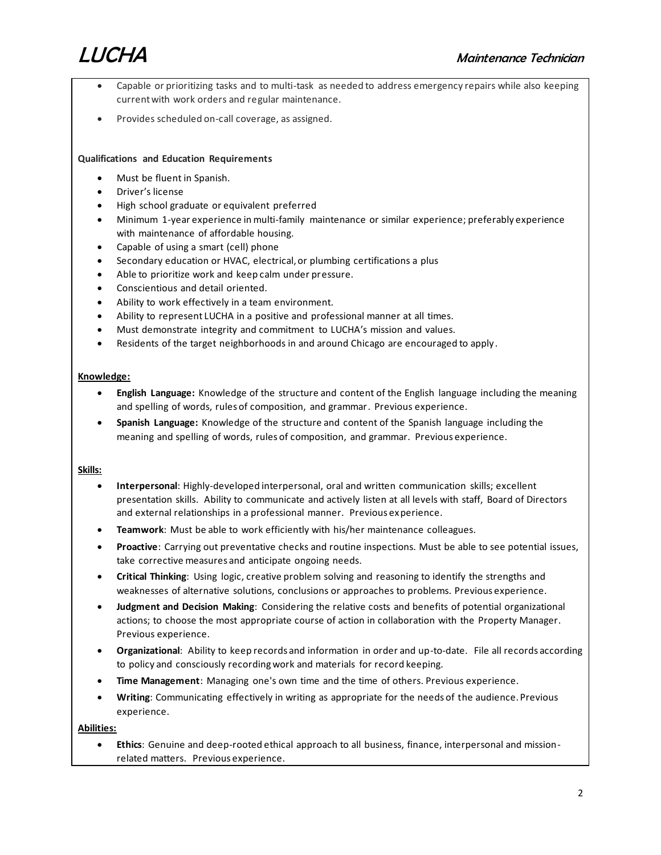

- Capable or prioritizing tasks and to multi-task as needed to address emergency repairs while also keeping current with work orders and regular maintenance.
- Provides scheduled on-call coverage, as assigned.

#### **Qualifications and Education Requirements**

- Must be fluent in Spanish.
- Driver's license
- High school graduate or equivalent preferred
- Minimum 1-year experience in multi-family maintenance or similar experience; preferably experience with maintenance of affordable housing.
- Capable of using a smart (cell) phone
- Secondary education or HVAC, electrical, or plumbing certifications a plus
- Able to prioritize work and keep calm under pressure.
- Conscientious and detail oriented.
- Ability to work effectively in a team environment.
- Ability to represent LUCHA in a positive and professional manner at all times.
- Must demonstrate integrity and commitment to LUCHA's mission and values.
- Residents of the target neighborhoods in and around Chicago are encouraged to apply .

#### **Knowledge:**

- **English Language:** Knowledge of the structure and content of the English language including the meaning and spelling of words, rules of composition, and grammar. Previous experience.
- **Spanish Language:** Knowledge of the structure and content of the Spanish language including the meaning and spelling of words, rules of composition, and grammar. Previous experience.

#### **Skills:**

- **Interpersonal**: Highly-developed interpersonal, oral and written communication skills; excellent presentation skills. Ability to communicate and actively listen at all levels with staff, Board of Directors and external relationships in a professional manner. Previous experience.
- **Teamwork**: Must be able to work efficiently with his/her maintenance colleagues.
- **Proactive**: Carrying out preventative checks and routine inspections. Must be able to see potential issues, take corrective measures and anticipate ongoing needs.
- **Critical Thinking**: Using logic, creative problem solving and reasoning to identify the strengths and weaknesses of alternative solutions, conclusions or approaches to problems. Previous experience.
- **Judgment and Decision Making**: Considering the relative costs and benefits of potential organizational actions; to choose the most appropriate course of action in collaboration with the Property Manager. Previous experience.
- **Organizational**: Ability to keep records and information in order and up-to-date. File all records according to policy and consciously recording work and materials for record keeping.
- **Time Management**: Managing one's own time and the time of others. Previous experience.
- **Writing**: Communicating effectively in writing as appropriate for the needs of the audience. Previous experience.

#### **Abilities:**

• **Ethics**: Genuine and deep-rooted ethical approach to all business, finance, interpersonal and missionrelated matters. Previous experience.